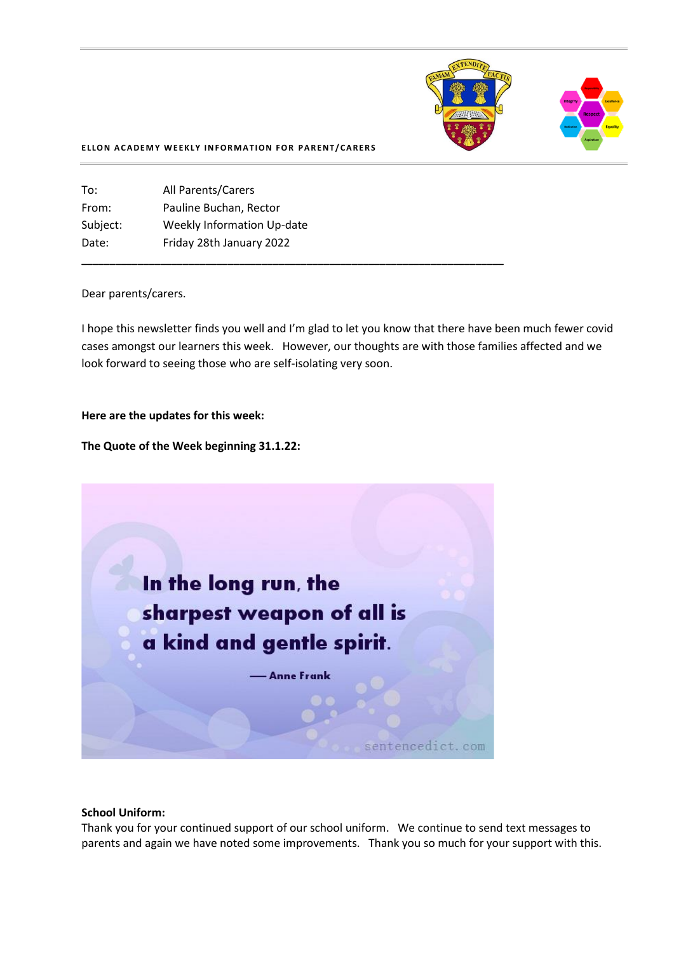

#### **ELLON ACADEMY WEEKLY INFORMATION FOR PARENT/CARERS**

To: All Parents/Carers From: Pauline Buchan, Rector Subject: Weekly Information Up-date Date: Friday 28th January 2022

#### Dear parents/carers.

I hope this newsletter finds you well and I'm glad to let you know that there have been much fewer covid cases amongst our learners this week. However, our thoughts are with those families affected and we look forward to seeing those who are self-isolating very soon.

**\_\_\_\_\_\_\_\_\_\_\_\_\_\_\_\_\_\_\_\_\_\_\_\_\_\_\_\_\_\_\_\_\_\_\_\_\_\_\_\_\_\_\_\_\_\_\_\_\_\_\_\_\_\_\_\_\_\_\_\_\_\_\_\_\_\_\_\_\_\_\_\_\_\_\_**

#### **Here are the updates for this week:**

**The Quote of the Week beginning 31.1.22:**



#### **School Uniform:**

Thank you for your continued support of our school uniform. We continue to send text messages to parents and again we have noted some improvements. Thank you so much for your support with this.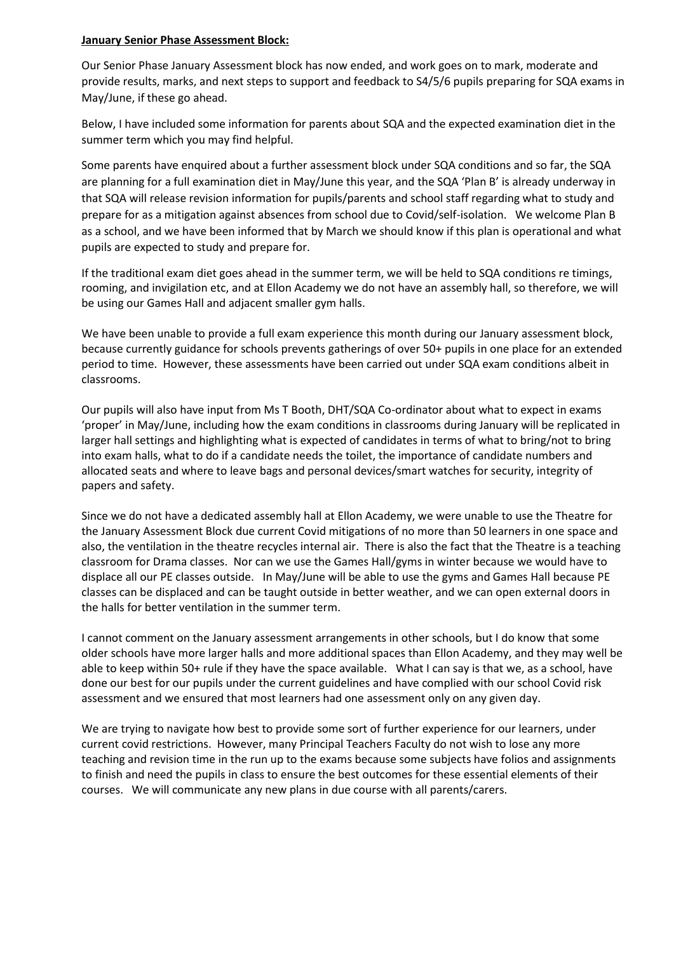### **January Senior Phase Assessment Block:**

Our Senior Phase January Assessment block has now ended, and work goes on to mark, moderate and provide results, marks, and next steps to support and feedback to S4/5/6 pupils preparing for SQA exams in May/June, if these go ahead.

Below, I have included some information for parents about SQA and the expected examination diet in the summer term which you may find helpful.

Some parents have enquired about a further assessment block under SQA conditions and so far, the SQA are planning for a full examination diet in May/June this year, and the SQA 'Plan B' is already underway in that SQA will release revision information for pupils/parents and school staff regarding what to study and prepare for as a mitigation against absences from school due to Covid/self-isolation. We welcome Plan B as a school, and we have been informed that by March we should know if this plan is operational and what pupils are expected to study and prepare for.

If the traditional exam diet goes ahead in the summer term, we will be held to SQA conditions re timings, rooming, and invigilation etc, and at Ellon Academy we do not have an assembly hall, so therefore, we will be using our Games Hall and adjacent smaller gym halls.

We have been unable to provide a full exam experience this month during our January assessment block, because currently guidance for schools prevents gatherings of over 50+ pupils in one place for an extended period to time. However, these assessments have been carried out under SQA exam conditions albeit in classrooms.

Our pupils will also have input from Ms T Booth, DHT/SQA Co-ordinator about what to expect in exams 'proper' in May/June, including how the exam conditions in classrooms during January will be replicated in larger hall settings and highlighting what is expected of candidates in terms of what to bring/not to bring into exam halls, what to do if a candidate needs the toilet, the importance of candidate numbers and allocated seats and where to leave bags and personal devices/smart watches for security, integrity of papers and safety.

Since we do not have a dedicated assembly hall at Ellon Academy, we were unable to use the Theatre for the January Assessment Block due current Covid mitigations of no more than 50 learners in one space and also, the ventilation in the theatre recycles internal air. There is also the fact that the Theatre is a teaching classroom for Drama classes. Nor can we use the Games Hall/gyms in winter because we would have to displace all our PE classes outside. In May/June will be able to use the gyms and Games Hall because PE classes can be displaced and can be taught outside in better weather, and we can open external doors in the halls for better ventilation in the summer term.

I cannot comment on the January assessment arrangements in other schools, but I do know that some older schools have more larger halls and more additional spaces than Ellon Academy, and they may well be able to keep within 50+ rule if they have the space available. What I can say is that we, as a school, have done our best for our pupils under the current guidelines and have complied with our school Covid risk assessment and we ensured that most learners had one assessment only on any given day.

We are trying to navigate how best to provide some sort of further experience for our learners, under current covid restrictions. However, many Principal Teachers Faculty do not wish to lose any more teaching and revision time in the run up to the exams because some subjects have folios and assignments to finish and need the pupils in class to ensure the best outcomes for these essential elements of their courses. We will communicate any new plans in due course with all parents/carers.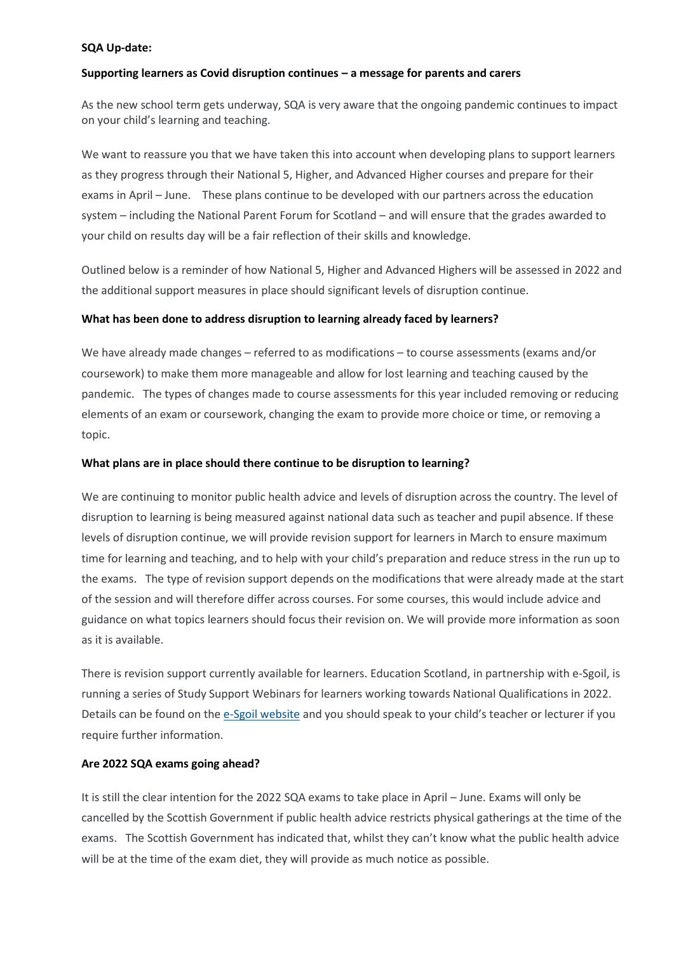#### **SQA Up-date:**

### **Supporting learners as Covid disruption continues – a message for parents and carers**

As the new school term gets underway, SQA is very aware that the ongoing pandemic continues to impact on your child's learning and teaching.

We want to reassure you that we have taken this into account when developing plans to support learners as they progress through their National 5, Higher, and Advanced Higher courses and prepare for their exams in April – June. These plans continue to be developed with our partners across the education system – including the National Parent Forum for Scotland – and will ensure that the grades awarded to your child on results day will be a fair reflection of their skills and knowledge.

Outlined below is a reminder of how National 5, Higher and Advanced Highers will be assessed in 2022 and the additional support measures in place should significant levels of disruption continue.

### **What has been done to address disruption to learning already faced by learners?**

We have already made changes – referred to as modifications – to course assessments (exams and/or coursework) to make them more manageable and allow for lost learning and teaching caused by the pandemic. The types of changes made to course assessments for this year included removing or reducing elements of an exam or coursework, changing the exam to provide more choice or time, or removing a topic.

### **What plans are in place should there continue to be disruption to learning?**

We are continuing to monitor public health advice and levels of disruption across the country. The level of disruption to learning is being measured against national data such as teacher and pupil absence. If these levels of disruption continue, we will provide revision support for learners in March to ensure maximum time for learning and teaching, and to help with your child's preparation and reduce stress in the run up to the exams. The type of revision support depends on the modifications that were already made at the start of the session and will therefore differ across courses. For some courses, this would include advice and guidance on what topics learners should focus their revision on. We will provide more information as soon as it is available.

There is revision support currently available for learners. Education Scotland, in partnership with e-Sgoil, is running a series of Study Support Webinars for learners working towards National Qualifications in 2022. Details can be found on the [e-Sgoil website](https://www.e-sgoil.com/study-support/) and you should speak to your child's teacher or lecturer if you require further information.

### **Are 2022 SQA exams going ahead?**

It is still the clear intention for the 2022 SQA exams to take place in April – June. Exams will only be cancelled by the Scottish Government if public health advice restricts physical gatherings at the time of the exams. The Scottish Government has indicated that, whilst they can't know what the public health advice will be at the time of the exam diet, they will provide as much notice as possible.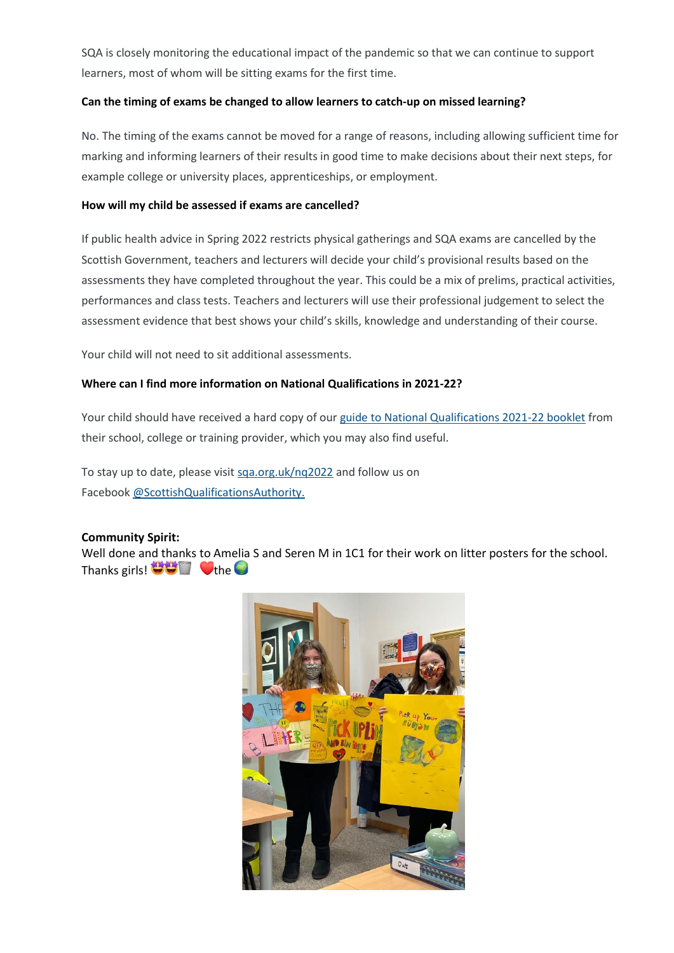SQA is closely monitoring the educational impact of the pandemic so that we can continue to support learners, most of whom will be sitting exams for the first time.

# **Can the timing of exams be changed to allow learners to catch-up on missed learning?**

No. The timing of the exams cannot be moved for a range of reasons, including allowing sufficient time for marking and informing learners of their results in good time to make decisions about their next steps, for example college or university places, apprenticeships, or employment.

### **How will my child be assessed if exams are cancelled?**

If public health advice in Spring 2022 restricts physical gatherings and SQA exams are cancelled by the Scottish Government, teachers and lecturers will decide your child's provisional results based on the assessments they have completed throughout the year. This could be a mix of prelims, practical activities, performances and class tests. Teachers and lecturers will use their professional judgement to select the assessment evidence that best shows your child's skills, knowledge and understanding of their course.

Your child will not need to sit additional assessments.

# **Where can I find more information on National Qualifications in 2021-22?**

Your child should have received a hard copy of our [guide to National Qualifications 2021](https://www.sqa.org.uk/sqa/files_ccc/Your-NQ-2021-22.pdf)-22 booklet from their school, college or training provider, which you may also find useful.

To stay up to date, please visit [sqa.org.uk/nq2022](https://www.sqa.org.uk/sqa/95157.html?utm_source=Newsitem&utm_medium=Web&utm_campaign=nq2022&utm_content=NQ2022) and follow us on Facebook [@ScottishQualificationsAuthority.](https://www.facebook.com/ScottishQualificationsAuthority)

### **Community Spirit:**

Well done and thanks to Amelia S and Seren M in 1C1 for their work on litter posters for the school. Thanks girls!  $\bullet$   $\bullet$   $\bullet$   $\bullet$   $\bullet$ 

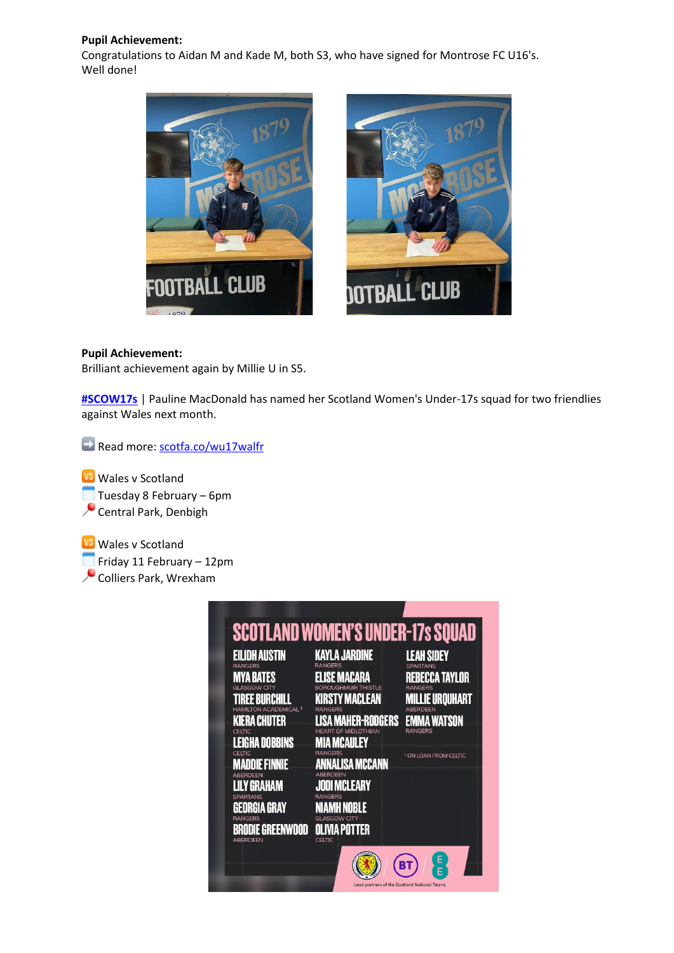# **Pupil Achievement:**

Congratulations to Aidan M and Kade M, both S3, who have signed for Montrose FC U16's. Well done!





# **Pupil Achievement:**

Brilliant achievement again by Millie U in S5.

**[#SCOW17s](https://www.facebook.com/hashtag/scow17s?__eep__=6&__cft__%5b0%5d=AZUX80i7SRKe4gldt1cOIVuXQBYJbgu9NR0Rf-2DsMjyaDXEZ3b6arVQMQgNyMOiDshmvP8bs7RIUmxer73GoiNuKo2zSRkQRKzxqqfaoKcbK59X8tLaTR9MABCdIzIQkXwcVjgZUx2cs-HhoFomIPuCvNT7RuBRgCcruiIvvQwXWVChGXQSjpbuqWwiO-HE6taVkB3n4tKh6Rq5heeF5k5p7jPPvGdT5uembIWshzzatw&__tn__=*NK*F)** | Pauline MacDonald has named her Scotland Women's Under-17s squad for two friendlies against Wales next month.

Read more: [scotfa.co/wu17walfr](http://scotfa.co/wu17walfr?fbclid=IwAR2X3tt_nnCnmsRA23xYfF9ukB33cSpA8dlIXJmkYsUeXEgcdO5YDrbvP7U)

**Wales v Scotland** Tuesday 8 February – 6pm Central Park, Denbigh

**VS** Wales v Scotland  $\Box$  Friday 11 February – 12pm Colliers Park, Wrexham

| <b>EILIDH AUSTIN</b>                               | <b>SCOTLAND WOMEN'S UNDER-17s SQUAD</b><br><b>KAYLA JARDINE</b> | <b>LEAH SIDEY</b>                |
|----------------------------------------------------|-----------------------------------------------------------------|----------------------------------|
| <b>RANGERS</b><br>IYA BATES                        | <b>RANGERS</b><br>ELISE MACARA                                  | <b>SPARTANS</b>                  |
|                                                    |                                                                 | REBECCA TAYLOR<br>RANGERS        |
| REE RURCHILL                                       | <b>KIRSTY MACLEAN</b>                                           | <b>MILLIE UROUHART</b>           |
| TON ACADEMICAL <sup>1</sup><br><b>KIERA CHUTER</b> | RANGERS<br><b>MAHER-RODGERS</b>                                 | <b>ARFRDFFN</b><br>Emma Watson   |
| CELTIC                                             | <b>MIDI OTHIAN</b>                                              | <b>RANGERS</b>                   |
| <b>LEIGHA DOBBINS</b>                              | <b>MCAULEY</b><br>Ш                                             |                                  |
| CELTIC                                             | <b>RANGERS</b>                                                  | <sup>1</sup> ON LOAN FROM CELTIC |
| <b>MADDIE FINNIE</b><br><b>ARERDEEN</b>            | ANNALISA MCCANN<br><b>ARFRDEEN</b>                              |                                  |
| Y GRAHAM                                           | <b>JODI MCLEARY</b>                                             |                                  |
| <b>SPARTANS</b>                                    | RANGERS                                                         |                                  |
| EORGIA GRAY                                        | NOBLE                                                           |                                  |
| <b>RANGERS</b>                                     |                                                                 |                                  |
| <b>BRODIE GREENWOOD</b><br><b>ABERDEEN</b>         | OLIVIA POTTER<br>CELTIC                                         |                                  |
|                                                    |                                                                 | E                                |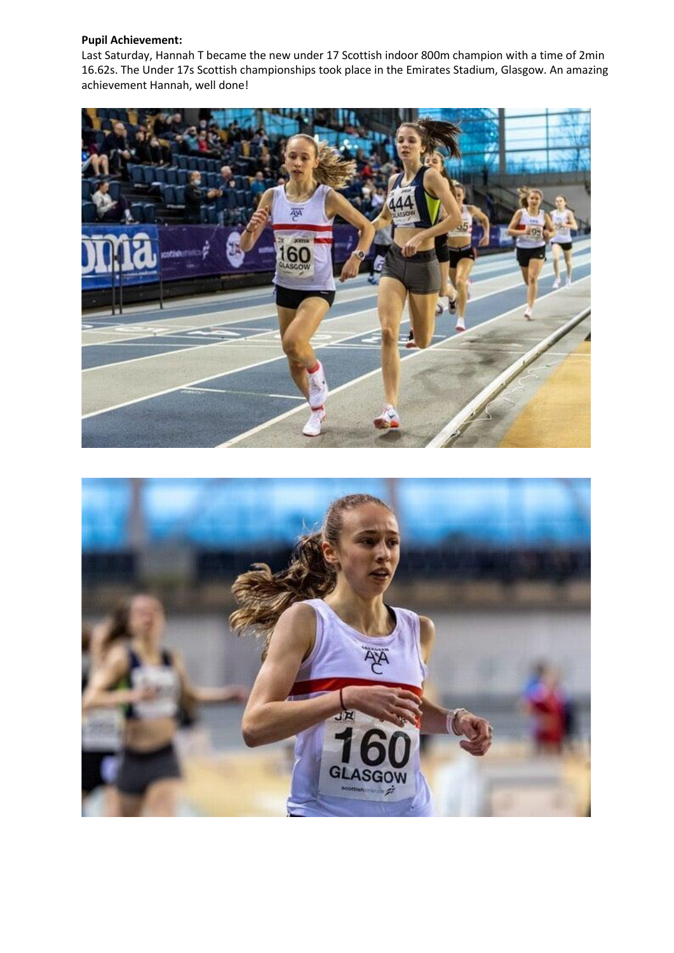# **Pupil Achievement:**

Last Saturday, Hannah T became the new under 17 Scottish indoor 800m champion with a time of 2min 16.62s. The Under 17s Scottish championships took place in the Emirates Stadium, Glasgow. An amazing achievement Hannah, well done!



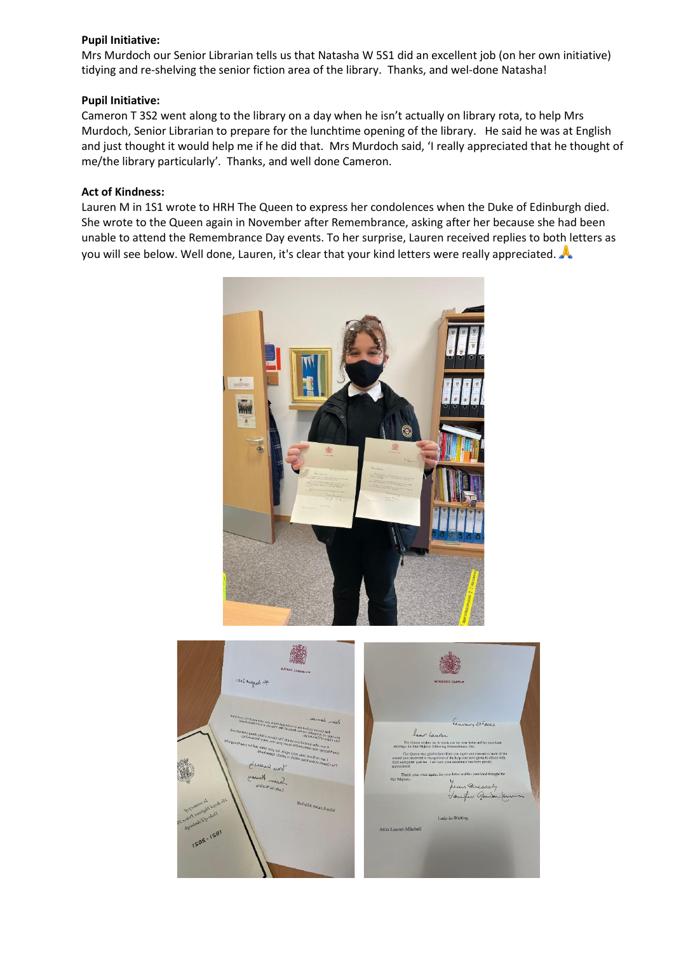### **Pupil Initiative:**

Mrs Murdoch our Senior Librarian tells us that Natasha W 5S1 did an excellent job (on her own initiative) tidying and re-shelving the senior fiction area of the library. Thanks, and wel-done Natasha!

# **Pupil Initiative:**

Cameron T 3S2 went along to the library on a day when he isn't actually on library rota, to help Mrs Murdoch, Senior Librarian to prepare for the lunchtime opening of the library. He said he was at English and just thought it would help me if he did that. Mrs Murdoch said, 'I really appreciated that he thought of me/the library particularly'. Thanks, and well done Cameron.

# **Act of Kindness:**

Lauren M in 1S1 wrote to HRH The Queen to express her condolences when the Duke of Edinburgh died. She wrote to the Queen again in November after Remembrance, asking after her because she had been unable to attend the Remembrance Day events. To her surprise, Lauren received replies to both letters as you will see below. Well done, Lauren, it's clear that your kind letters were really appreciated.



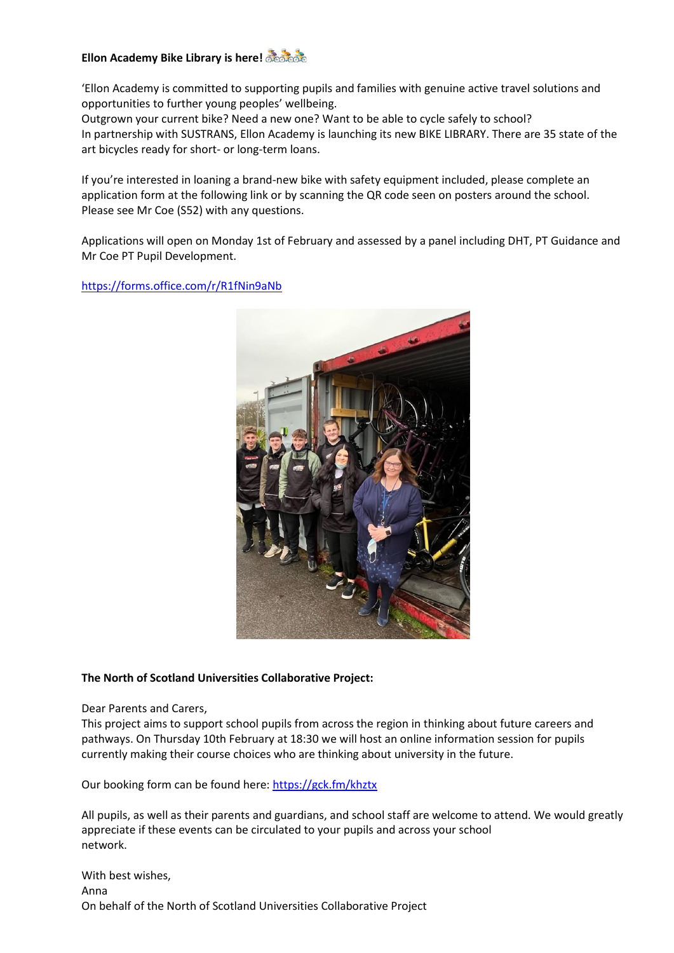# **Ellon Academy Bike Library is here!**

'Ellon Academy is committed to supporting pupils and families with genuine active travel solutions and opportunities to further young peoples' wellbeing.

Outgrown your current bike? Need a new one? Want to be able to cycle safely to school? In partnership with SUSTRANS, Ellon Academy is launching its new BIKE LIBRARY. There are 35 state of the art bicycles ready for short- or long-term loans.

If you're interested in loaning a brand-new bike with safety equipment included, please complete an application form at the following link or by scanning the QR code seen on posters around the school. Please see Mr Coe (S52) with any questions.

Applications will open on Monday 1st of February and assessed by a panel including DHT, PT Guidance and Mr Coe PT Pupil Development.

[https://forms.office.com/r/R1fNin9aNb](https://forms.office.com/r/R1fNin9aNb?fbclid=IwAR0ttlUqyrQsWxMe2TCphgU6xIYaLD-9Tk3NMUEpUKpDaAqTE7sGocte9w0)



### **The North of Scotland Universities Collaborative Project:**

Dear Parents and Carers,

This project aims to support school pupils from across the region in thinking about future careers and pathways. On Thursday 10th February at 18:30 we will host an online information session for pupils currently making their course choices who are thinking about university in the future.

Our booking form can be found here: [https://gck.fm/khztx](https://gck.fm/khztx?fbclid=IwAR2pOZ1rXacahK-8OMkUtvLy9MJrz6L9RgzwOdPEMtvqUTgmrWOX-8rkkQE)

All pupils, as well as their parents and guardians, and school staff are welcome to attend. We would greatly appreciate if these events can be circulated to your pupils and across your school network.

With best wishes, Anna On behalf of the North of Scotland Universities Collaborative Project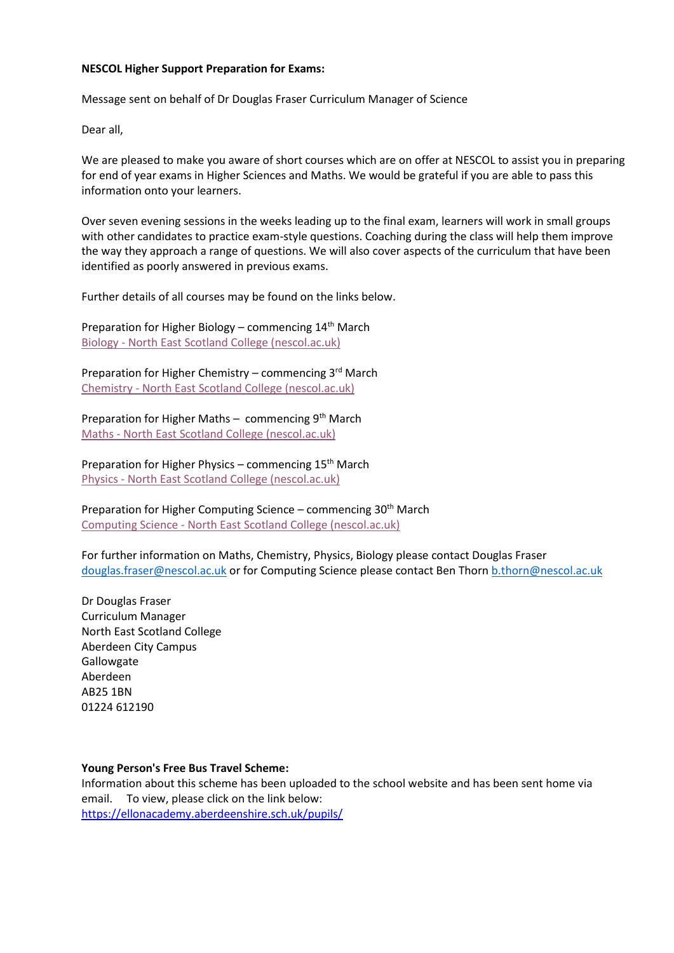#### **NESCOL Higher Support Preparation for Exams:**

Message sent on behalf of Dr Douglas Fraser Curriculum Manager of Science

Dear all,

We are pleased to make you aware of short courses which are on offer at NESCOL to assist you in preparing for end of year exams in Higher Sciences and Maths. We would be grateful if you are able to pass this information onto your learners.

Over seven evening sessions in the weeks leading up to the final exam, learners will work in small groups with other candidates to practice exam-style questions. Coaching during the class will help them improve the way they approach a range of questions. We will also cover aspects of the curriculum that have been identified as poorly answered in previous exams.

Further details of all courses may be found on the links below.

Preparation for Higher Biology – commencing  $14<sup>th</sup>$  March Biology - [North East Scotland College \(nescol.ac.uk\)](https://eur02.safelinks.protection.outlook.com/?url=https%3A%2F%2Fwww.nescol.ac.uk%2Fcourses%2Fpreparation-for-biology-higher-exam%2F&data=04%7C01%7CR.Stirling%40nescol.ac.uk%7C55ec69b32d8d480997dd08d9e0da646d%7Cb8c4db000d5040e1b5eb7b8290a8b9bb%7C0%7C0%7C637788050853101916%7CUnknown%7CTWFpbGZsb3d8eyJWIjoiMC4wLjAwMDAiLCJQIjoiV2luMzIiLCJBTiI6Ik1haWwiLCJXVCI6Mn0%3D%7C3000&sdata=xBVpnZ7XGWcMAnhQDOk5GRk1pG6%2B17yLfY35GhjbRr4%3D&reserved=0)

Preparation for Higher Chemistry – commencing  $3^{rd}$  March Chemistry - [North East Scotland College \(nescol.ac.uk\)](https://eur02.safelinks.protection.outlook.com/?url=https%3A%2F%2Fwww.nescol.ac.uk%2Fcourses%2Fpreparation-for-chemistry-higher-exam%2F&data=04%7C01%7CR.Stirling%40nescol.ac.uk%7C55ec69b32d8d480997dd08d9e0da646d%7Cb8c4db000d5040e1b5eb7b8290a8b9bb%7C0%7C0%7C637788050853101916%7CUnknown%7CTWFpbGZsb3d8eyJWIjoiMC4wLjAwMDAiLCJQIjoiV2luMzIiLCJBTiI6Ik1haWwiLCJXVCI6Mn0%3D%7C3000&sdata=glEpc1xWLut4ELCdgN5hVvqQivS7Vbrbmun7cEb9F9Y%3D&reserved=0)

Preparation for Higher Maths – commencing  $9<sup>th</sup>$  March Maths - [North East Scotland College \(nescol.ac.uk\)](https://eur02.safelinks.protection.outlook.com/?url=https%3A%2F%2Fwww.nescol.ac.uk%2Fcourses%2Fpreparation-for-maths-higher-exam%2F&data=04%7C01%7CR.Stirling%40nescol.ac.uk%7C55ec69b32d8d480997dd08d9e0da646d%7Cb8c4db000d5040e1b5eb7b8290a8b9bb%7C0%7C0%7C637788050853101916%7CUnknown%7CTWFpbGZsb3d8eyJWIjoiMC4wLjAwMDAiLCJQIjoiV2luMzIiLCJBTiI6Ik1haWwiLCJXVCI6Mn0%3D%7C3000&sdata=Lx7e0NW8y%2BkLpSoiNpiX2QiMoQsLwbHNmCNGMhKDk6c%3D&reserved=0)

Preparation for Higher Physics – commencing  $15<sup>th</sup>$  March Physics - [North East Scotland College \(nescol.ac.uk\)](https://eur02.safelinks.protection.outlook.com/?url=https%3A%2F%2Fwww.nescol.ac.uk%2Fcourses%2Fpreparation-for-physics-higher-exam%2F&data=04%7C01%7CR.Stirling%40nescol.ac.uk%7C55ec69b32d8d480997dd08d9e0da646d%7Cb8c4db000d5040e1b5eb7b8290a8b9bb%7C0%7C0%7C637788050853101916%7CUnknown%7CTWFpbGZsb3d8eyJWIjoiMC4wLjAwMDAiLCJQIjoiV2luMzIiLCJBTiI6Ik1haWwiLCJXVCI6Mn0%3D%7C3000&sdata=gix9h6GkYfiy8rLnzbtgtdq7XvBdlSYC1IQOJJ2D5LI%3D&reserved=0)

Preparation for Higher Computing Science – commencing  $30<sup>th</sup>$  March Computing Science - [North East Scotland College \(nescol.ac.uk\)](https://eur02.safelinks.protection.outlook.com/?url=https%3A%2F%2Fwww.nescol.ac.uk%2Fcourses%2Fpreparation-for-computing-science-higher-exam%2F&data=04%7C01%7CR.Stirling%40nescol.ac.uk%7C55ec69b32d8d480997dd08d9e0da646d%7Cb8c4db000d5040e1b5eb7b8290a8b9bb%7C0%7C0%7C637788050853101916%7CUnknown%7CTWFpbGZsb3d8eyJWIjoiMC4wLjAwMDAiLCJQIjoiV2luMzIiLCJBTiI6Ik1haWwiLCJXVCI6Mn0%3D%7C3000&sdata=Cowqku953v9G%2FKzvWzCtms8tFAgm9HVZ5%2BCngfVl%2FAI%3D&reserved=0)

For further information on Maths, Chemistry, Physics, Biology please contact Douglas Fraser [douglas.fraser@nescol.ac.uk](mailto:douglas.fraser@nescol.ac.uk) or for Computing Science please contact Ben Thorn [b.thorn@nescol.ac.uk](mailto:b.thorn@nescol.ac.uk)

Dr Douglas Fraser Curriculum Manager North East Scotland College Aberdeen City Campus Gallowgate Aberdeen AB25 1BN 01224 612190

#### **Young Person's Free Bus Travel Scheme:**

Information about this scheme has been uploaded to the school website and has been sent home via email. To view, please click on the link below: [https://ellonacademy.aberdeenshire.sch.uk/pupils/](https://ellonacademy.aberdeenshire.sch.uk/pupils/?fbclid=IwAR0HMhfvcP47QjKfeS7LXpwVDeG7g2p3WvwnfD42d2SOPr3CGGB3vIXhIR8)